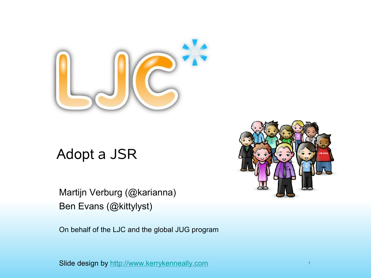

## Adopt a JSR

Martijn Verburg (@karianna) Ben Evans (@kittylyst)

On behalf of the LJC and the global JUG program



Slide design by [http://www.kerrykenneally.com](http://www.kerrykenneally.com/)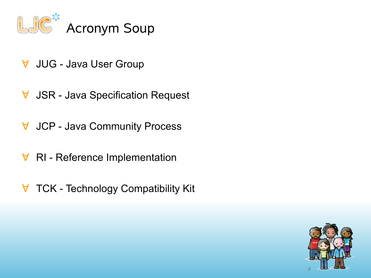

- ∀ JUG Java User Group
- ∀ JSR Java Specification Request
- ∀ JCP Java Community Process
- ∀ RI Reference Implementation
- ∀ TCK Technology Compatibility Kit

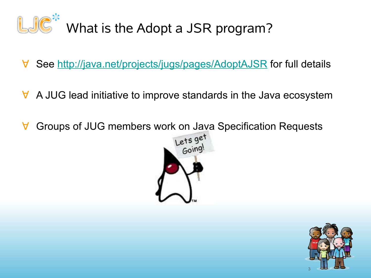

- ∀ See [http://java.net/projects/jugs/pages/AdoptAJSR](http://fasdasdas/) for full details
- ∀ A JUG lead initiative to improve standards in the Java ecosystem
- ∀ Groups of JUG members work on Java Specification Requests



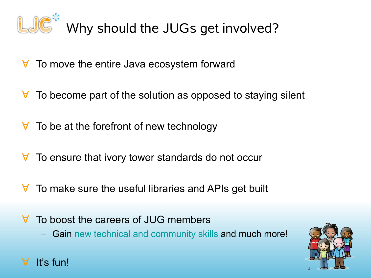

## Why should the JUGs get involved?

- ∀ To move the entire Java ecosystem forward
- $\forall$  To become part of the solution as opposed to staying silent
- $\forall$  To be at the forefront of new technology
- ∀ To ensure that ivory tower standards do not occur
- ∀ To make sure the useful libraries and APIs get built
- ∀ To boost the careers of JUG members
	- Gain [new technical and community skills](http://developercareers.wordpress.com/2011/11/01/give-your-career-a-boost-by-adopting-a-jsr/) and much more!



It's fun!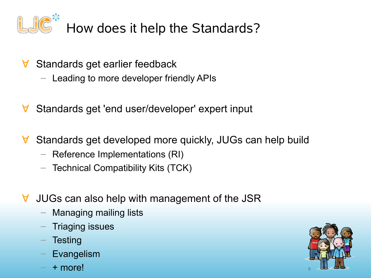

- ∀ Standards get earlier feedback
	- Leading to more developer friendly APIs
- ∀ Standards get 'end user/developer' expert input
- ∀ Standards get developed more quickly, JUGs can help build
	- Reference Implementations (RI)
	- Technical Compatibility Kits (TCK)
- ∀ JUGs can also help with management of the JSR
	- Managing mailing lists
	- Triaging issues
	- **Testing**
	- **Evangelism**
	- + more!

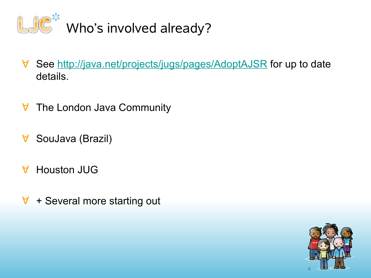

- ∀ See<http://java.net/projects/jugs/pages/AdoptAJSR>for up to date details.
- ∀ The London Java Community
- ∀ SouJava (Brazil)
- ∀ Houston JUG
- ∀ + Several more starting out

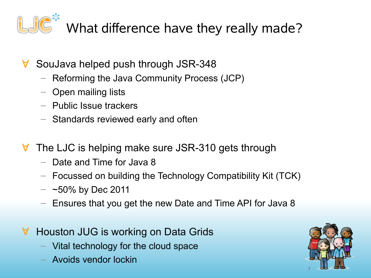

- ∀ SouJava helped push through JSR-348
	- Reforming the Java Community Process (JCP)
	- Open mailing lists
	- Public Issue trackers
	- Standards reviewed early and often
- ∀ The LJC is helping make sure JSR-310 gets through
	- Date and Time for Java 8
	- Focussed on building the Technology Compatibility Kit (TCK)
	- $-$  ~50% by Dec 2011
	- Ensures that you get the new Date and Time API for Java 8
- ∀ Houston JUG is working on Data Grids
	- Vital technology for the cloud space
	- Avoids vendor lockin

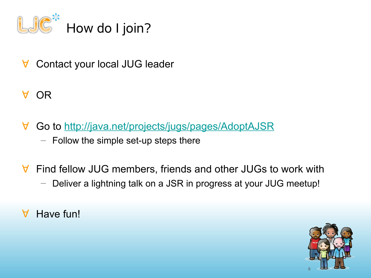

- ∀ Contact your local JUG leader
- ∀ OR
- ∀ Go to<http://java.net/projects/jugs/pages/AdoptAJSR>
	- Follow the simple set-up steps there
- ∀ Find fellow JUG members, friends and other JUGs to work with
	- Deliver a lightning talk on a JSR in progress at your JUG meetup!
- ∀ Have fun!